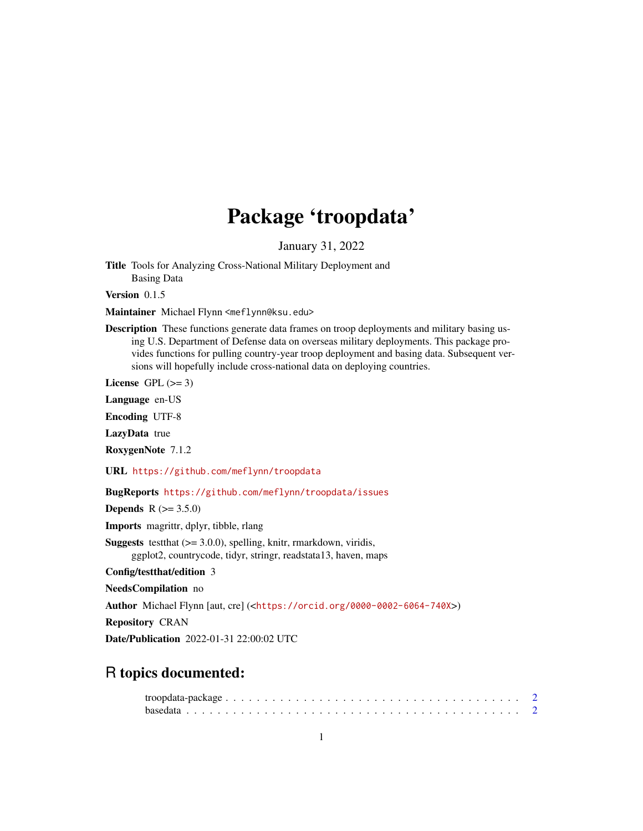## Package 'troopdata'

January 31, 2022

Title Tools for Analyzing Cross-National Military Deployment and Basing Data

Version 0.1.5

Maintainer Michael Flynn <meflynn@ksu.edu>

Description These functions generate data frames on troop deployments and military basing using U.S. Department of Defense data on overseas military deployments. This package provides functions for pulling country-year troop deployment and basing data. Subsequent versions will hopefully include cross-national data on deploying countries.

License GPL  $(>= 3)$ 

Language en-US

Encoding UTF-8

LazyData true

RoxygenNote 7.1.2

URL <https://github.com/meflynn/troopdata>

BugReports <https://github.com/meflynn/troopdata/issues>

**Depends**  $R (= 3.5.0)$ 

Imports magrittr, dplyr, tibble, rlang

**Suggests** test that  $(>= 3.0.0)$ , spelling, knitr, rmarkdown, viridis, ggplot2, countrycode, tidyr, stringr, readstata13, haven, maps

Config/testthat/edition 3

NeedsCompilation no

Author Michael Flynn [aut, cre] (<<https://orcid.org/0000-0002-6064-740X>>)

Repository CRAN

Date/Publication 2022-01-31 22:00:02 UTC

### R topics documented: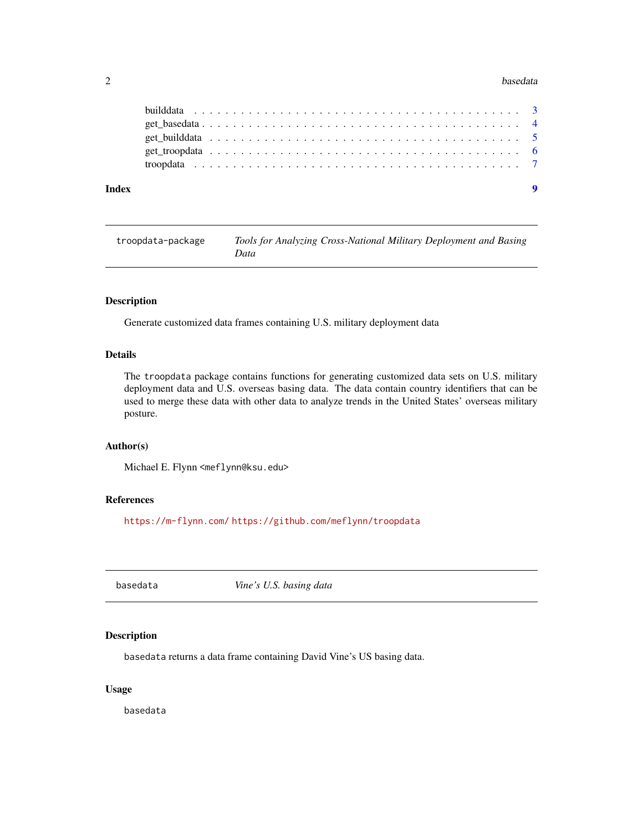#### <span id="page-1-0"></span>2 basedata based at a set of the set of the set of the set of the set of the set of the set of the set of the set of the set of the set of the set of the set of the set of the set of the set of the set of the set of the se

| Index |  |  |  |  |  |  |  |  |  |  |  |  |  |  |  |  |  |  |
|-------|--|--|--|--|--|--|--|--|--|--|--|--|--|--|--|--|--|--|
|       |  |  |  |  |  |  |  |  |  |  |  |  |  |  |  |  |  |  |
|       |  |  |  |  |  |  |  |  |  |  |  |  |  |  |  |  |  |  |
|       |  |  |  |  |  |  |  |  |  |  |  |  |  |  |  |  |  |  |
|       |  |  |  |  |  |  |  |  |  |  |  |  |  |  |  |  |  |  |
|       |  |  |  |  |  |  |  |  |  |  |  |  |  |  |  |  |  |  |

troopdata-package *Tools for Analyzing Cross-National Military Deployment and Basing Data*

#### Description

Generate customized data frames containing U.S. military deployment data

#### Details

The troopdata package contains functions for generating customized data sets on U.S. military deployment data and U.S. overseas basing data. The data contain country identifiers that can be used to merge these data with other data to analyze trends in the United States' overseas military posture.

#### Author(s)

Michael E. Flynn <meflynn@ksu.edu>

#### References

<https://m-flynn.com/> <https://github.com/meflynn/troopdata>

basedata *Vine's U.S. basing data*

#### Description

basedata returns a data frame containing David Vine's US basing data.

#### Usage

basedata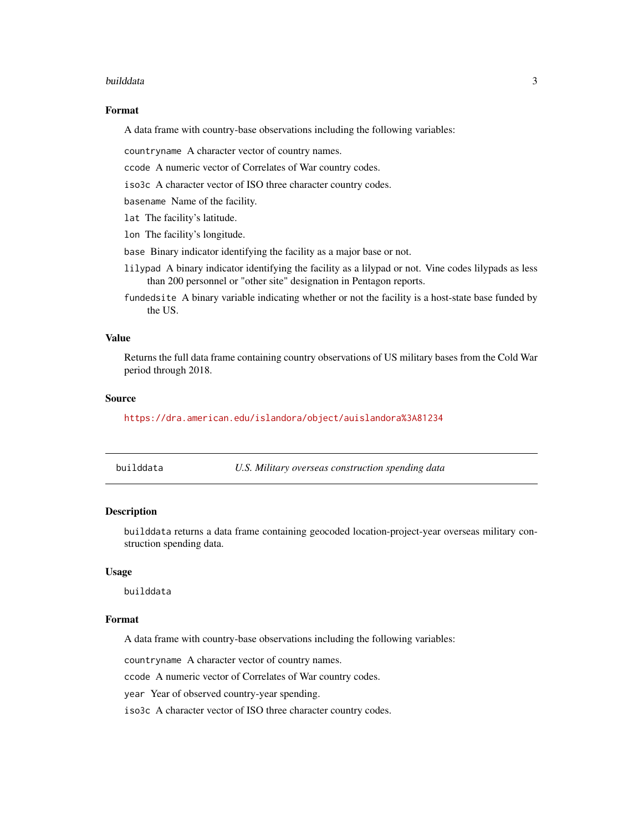#### <span id="page-2-0"></span>builddata 3

#### Format

A data frame with country-base observations including the following variables:

countryname A character vector of country names.

ccode A numeric vector of Correlates of War country codes.

iso3c A character vector of ISO three character country codes.

basename Name of the facility.

lat The facility's latitude.

lon The facility's longitude.

base Binary indicator identifying the facility as a major base or not.

- lilypad A binary indicator identifying the facility as a lilypad or not. Vine codes lilypads as less than 200 personnel or "other site" designation in Pentagon reports.
- fundedsite A binary variable indicating whether or not the facility is a host-state base funded by the US.

#### Value

Returns the full data frame containing country observations of US military bases from the Cold War period through 2018.

#### Source

<https://dra.american.edu/islandora/object/auislandora%3A81234>

| builddata |  |  |
|-----------|--|--|
|           |  |  |
|           |  |  |

U.S. Military overseas construction spending data

#### Description

builddata returns a data frame containing geocoded location-project-year overseas military construction spending data.

#### Usage

builddata

#### Format

A data frame with country-base observations including the following variables:

countryname A character vector of country names.

ccode A numeric vector of Correlates of War country codes.

year Year of observed country-year spending.

iso3c A character vector of ISO three character country codes.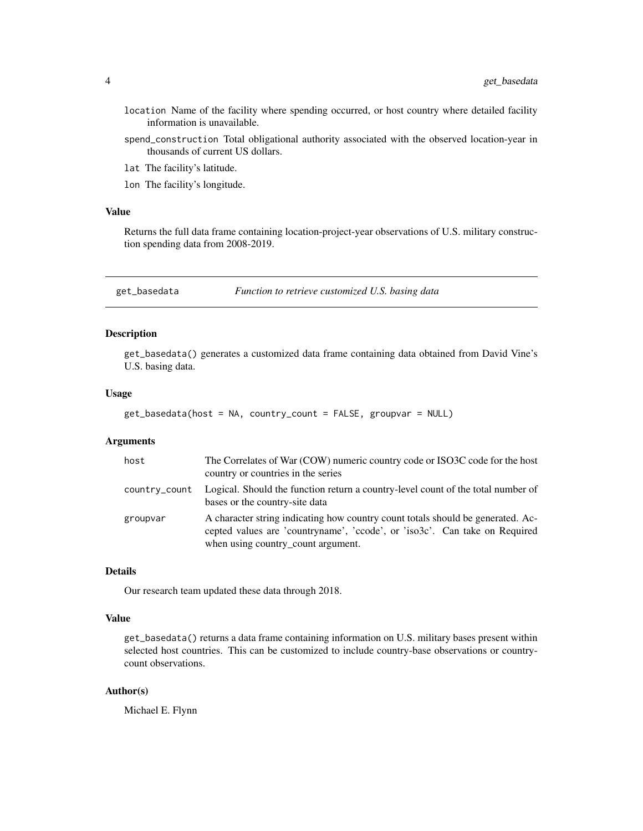- <span id="page-3-0"></span>location Name of the facility where spending occurred, or host country where detailed facility information is unavailable.
- spend\_construction Total obligational authority associated with the observed location-year in thousands of current US dollars.
- lat The facility's latitude.
- lon The facility's longitude.

#### Value

Returns the full data frame containing location-project-year observations of U.S. military construction spending data from 2008-2019.

get\_basedata *Function to retrieve customized U.S. basing data*

#### Description

get\_basedata() generates a customized data frame containing data obtained from David Vine's U.S. basing data.

#### Usage

```
get_basedata(host = NA, country_count = FALSE, groupvar = NULL)
```
#### Arguments

| host          | The Correlates of War (COW) numeric country code or ISO3C code for the host<br>country or countries in the series                                                                                   |
|---------------|-----------------------------------------------------------------------------------------------------------------------------------------------------------------------------------------------------|
| country_count | Logical. Should the function return a country-level count of the total number of<br>bases or the country-site data                                                                                  |
| groupvar      | A character string indicating how country count totals should be generated. Ac-<br>cepted values are 'countryname', 'ccode', or 'iso3c'. Can take on Required<br>when using country_count argument. |

#### Details

Our research team updated these data through 2018.

#### Value

get\_basedata() returns a data frame containing information on U.S. military bases present within selected host countries. This can be customized to include country-base observations or countrycount observations.

#### Author(s)

Michael E. Flynn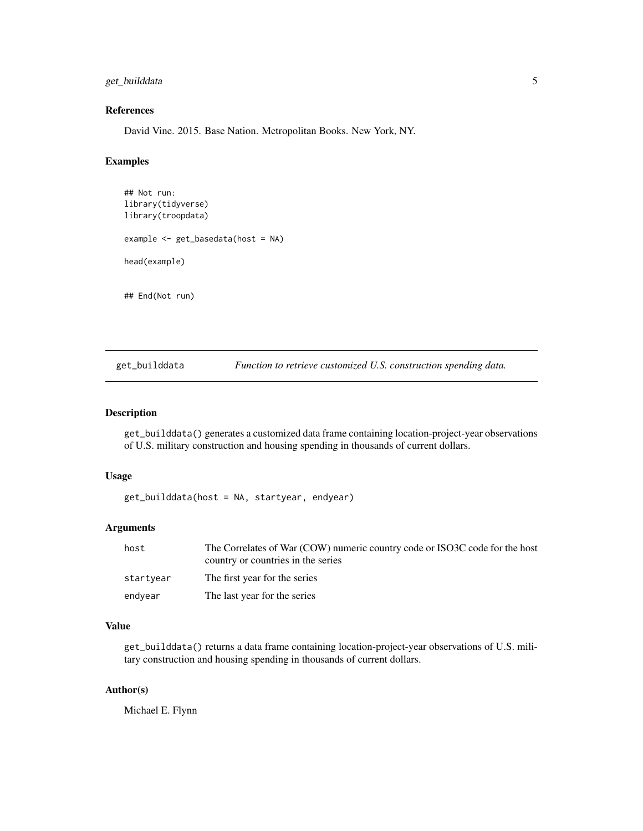#### <span id="page-4-0"></span>get\_builddata 5

#### References

David Vine. 2015. Base Nation. Metropolitan Books. New York, NY.

#### Examples

```
## Not run:
library(tidyverse)
library(troopdata)
example <- get_basedata(host = NA)
head(example)
## End(Not run)
```
get\_builddata *Function to retrieve customized U.S. construction spending data.*

#### Description

get\_builddata() generates a customized data frame containing location-project-year observations of U.S. military construction and housing spending in thousands of current dollars.

#### Usage

get\_builddata(host = NA, startyear, endyear)

#### Arguments

| host      | The Correlates of War (COW) numeric country code or ISO3C code for the host<br>country or countries in the series |
|-----------|-------------------------------------------------------------------------------------------------------------------|
| startyear | The first year for the series                                                                                     |
| endyear   | The last year for the series                                                                                      |

#### Value

get\_builddata() returns a data frame containing location-project-year observations of U.S. military construction and housing spending in thousands of current dollars.

#### Author(s)

Michael E. Flynn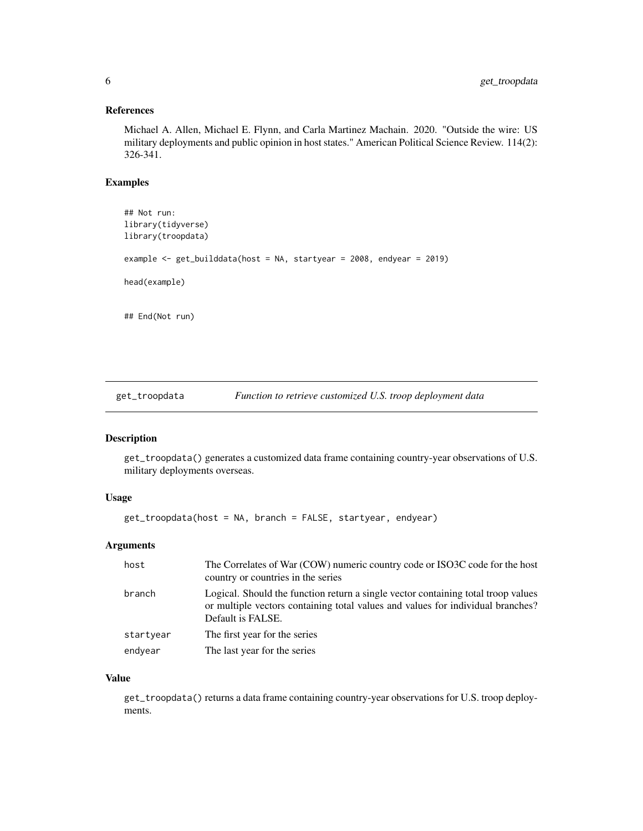#### <span id="page-5-0"></span>References

Michael A. Allen, Michael E. Flynn, and Carla Martinez Machain. 2020. "Outside the wire: US military deployments and public opinion in host states." American Political Science Review. 114(2): 326-341.

#### Examples

```
## Not run:
library(tidyverse)
library(troopdata)
example <- get_builddata(host = NA, startyear = 2008, endyear = 2019)
head(example)
## End(Not run)
```
get\_troopdata *Function to retrieve customized U.S. troop deployment data*

#### Description

get\_troopdata() generates a customized data frame containing country-year observations of U.S. military deployments overseas.

#### Usage

get\_troopdata(host = NA, branch = FALSE, startyear, endyear)

#### Arguments

| host      | The Correlates of War (COW) numeric country code or ISO3C code for the host<br>country or countries in the series                                                                         |
|-----------|-------------------------------------------------------------------------------------------------------------------------------------------------------------------------------------------|
| branch    | Logical. Should the function return a single vector containing total troop values<br>or multiple vectors containing total values and values for individual branches?<br>Default is FALSE. |
| startyear | The first year for the series                                                                                                                                                             |
| endyear   | The last year for the series                                                                                                                                                              |

#### Value

get\_troopdata() returns a data frame containing country-year observations for U.S. troop deployments.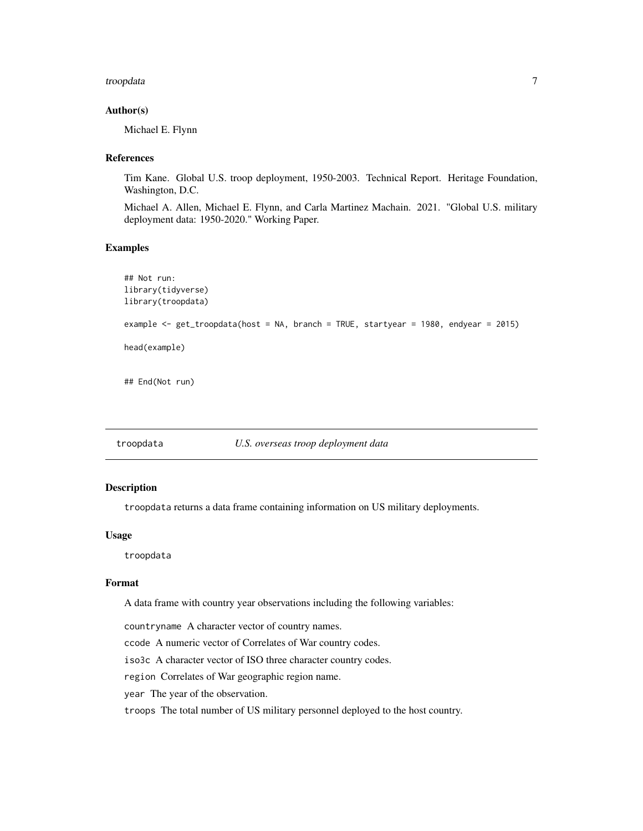#### <span id="page-6-0"></span>troopdata 7

#### Author(s)

Michael E. Flynn

#### References

Tim Kane. Global U.S. troop deployment, 1950-2003. Technical Report. Heritage Foundation, Washington, D.C.

Michael A. Allen, Michael E. Flynn, and Carla Martinez Machain. 2021. "Global U.S. military deployment data: 1950-2020." Working Paper.

#### Examples

```
## Not run:
library(tidyverse)
library(troopdata)
example <- get_troopdata(host = NA, branch = TRUE, startyear = 1980, endyear = 2015)
head(example)
## End(Not run)
```
troopdata *U.S. overseas troop deployment data*

#### Description

troopdata returns a data frame containing information on US military deployments.

#### Usage

troopdata

#### Format

A data frame with country year observations including the following variables:

countryname A character vector of country names.

ccode A numeric vector of Correlates of War country codes.

iso3c A character vector of ISO three character country codes.

region Correlates of War geographic region name.

year The year of the observation.

troops The total number of US military personnel deployed to the host country.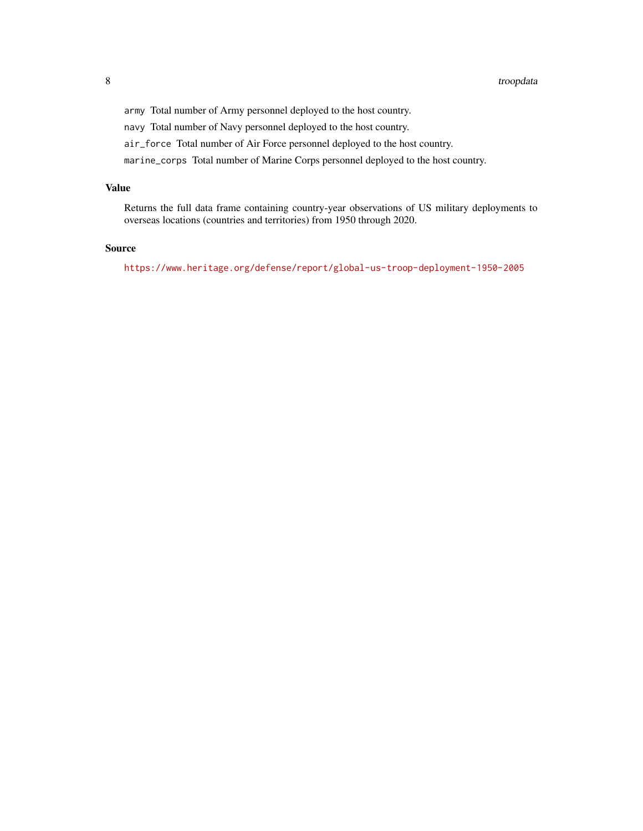army Total number of Army personnel deployed to the host country.

navy Total number of Navy personnel deployed to the host country.

air\_force Total number of Air Force personnel deployed to the host country.

marine\_corps Total number of Marine Corps personnel deployed to the host country.

#### Value

Returns the full data frame containing country-year observations of US military deployments to overseas locations (countries and territories) from 1950 through 2020.

#### Source

<https://www.heritage.org/defense/report/global-us-troop-deployment-1950-2005>